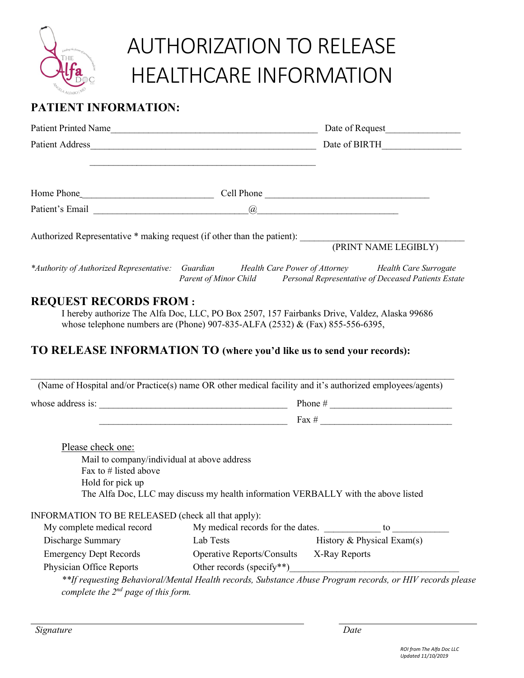

## AUTHORIZATION TO RELEASE HEALTHCARE INFORMATION

## **PATIENT INFORMATION:**

| <b>Patient Printed Name</b>                                             |            | Date of Request                                                                                                                  |
|-------------------------------------------------------------------------|------------|----------------------------------------------------------------------------------------------------------------------------------|
| Patient Address                                                         |            | Date of BIRTH                                                                                                                    |
|                                                                         |            |                                                                                                                                  |
| Home Phone                                                              | Cell Phone |                                                                                                                                  |
| Patient's Email                                                         | (a)        |                                                                                                                                  |
| Authorized Representative * making request (if other than the patient): |            | (PRINT NAME LEGIBLY)                                                                                                             |
| *Authority of Authorized Representative:                                | Guardian   | Health Care Power of Attorney Health Care Surrogate<br>Parent of Minor Child Personal Representative of Deceased Patients Estate |

## **REQUEST RECORDS FROM :**

I hereby authorize The Alfa Doc, LLC, PO Box 2507, 157 Fairbanks Drive, Valdez, Alaska 99686 whose telephone numbers are (Phone) 907-835-ALFA (2532) & (Fax) 855-556-6395,

## **TO RELEASE INFORMATION TO (where you'd like us to send your records):**

| whose address is:                                                                |                                                                                    |                            |
|----------------------------------------------------------------------------------|------------------------------------------------------------------------------------|----------------------------|
|                                                                                  |                                                                                    | Fax $\#$                   |
| Please check one:                                                                |                                                                                    |                            |
| Mail to company/individual at above address                                      |                                                                                    |                            |
|                                                                                  |                                                                                    |                            |
| Fax to $#$ listed above                                                          |                                                                                    |                            |
| Hold for pick up                                                                 |                                                                                    |                            |
|                                                                                  | The Alfa Doc, LLC may discuss my health information VERBALLY with the above listed |                            |
|                                                                                  |                                                                                    |                            |
| INFORMATION TO BE RELEASED (check all that apply):<br>My complete medical record | My medical records for the dates.                                                  | to $\qquad \qquad$         |
| Discharge Summary                                                                | Lab Tests                                                                          | History & Physical Exam(s) |
| <b>Emergency Dept Records</b>                                                    | Operative Reports/Consults X-Ray Reports                                           |                            |